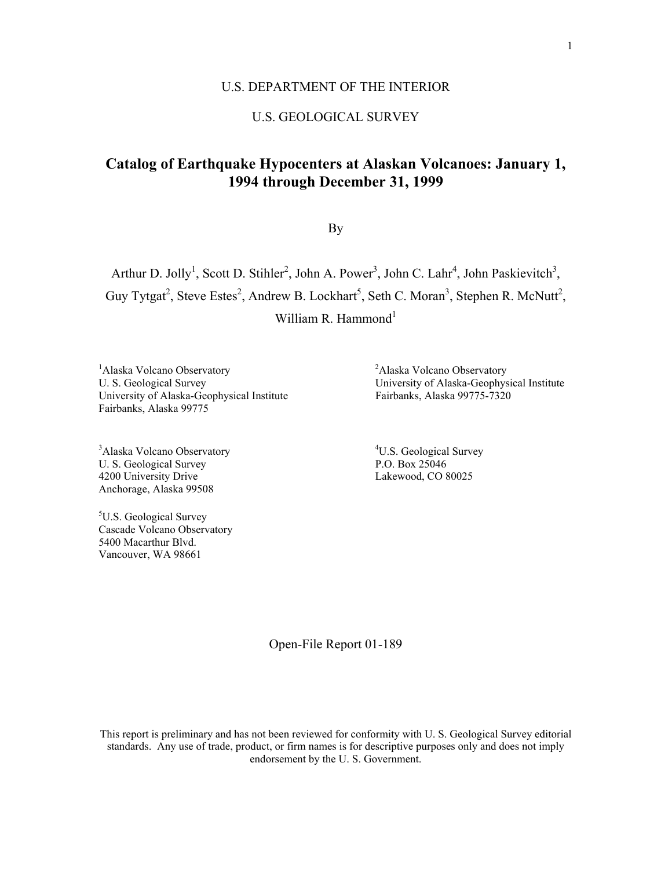## U.S. DEPARTMENT OF THE INTERIOR

# U.S. GEOLOGICAL SURVEY

# **Catalog of Earthquake Hypocenters at Alaskan Volcanoes: January 1, 1994 through December 31, 1999**

By

Arthur D. Jolly<sup>1</sup>, Scott D. Stihler<sup>2</sup>, John A. Power<sup>3</sup>, John C. Lahr<sup>4</sup>, John Paskievitch<sup>3</sup>, Guy Tytgat<sup>2</sup>, Steve Estes<sup>2</sup>, Andrew B. Lockhart<sup>5</sup>, Seth C. Moran<sup>3</sup>, Stephen R. McNutt<sup>2</sup>, William R. Hammond<sup>1</sup>

<sup>1</sup>Alaska Volcano Observatory <sup>2</sup> University of Alaska-Geophysical Institute Fairbanks, Alaska 99775

<sup>3</sup>Alaska Volcano Observatory <sup>4</sup> U. S. Geological Survey P.O. Box 25046 4200 University Drive Lakewood, CO 80025 Anchorage, Alaska 99508

<sup>5</sup>U.S. Geological Survey Cascade Volcano Observatory 5400 Macarthur Blvd. Vancouver, WA 98661

Alaska Volcano Observatory U. S. Geological Survey<br>
University of Alaska-Geophysical Institute<br>
Fairbanks, Alaska 99775-7320

<sup>4</sup>U.S. Geological Survey

Open-File Report 01-189

This report is preliminary and has not been reviewed for conformity with U. S. Geological Survey editorial standards. Any use of trade, product, or firm names is for descriptive purposes only and does not imply endorsement by the U. S. Government.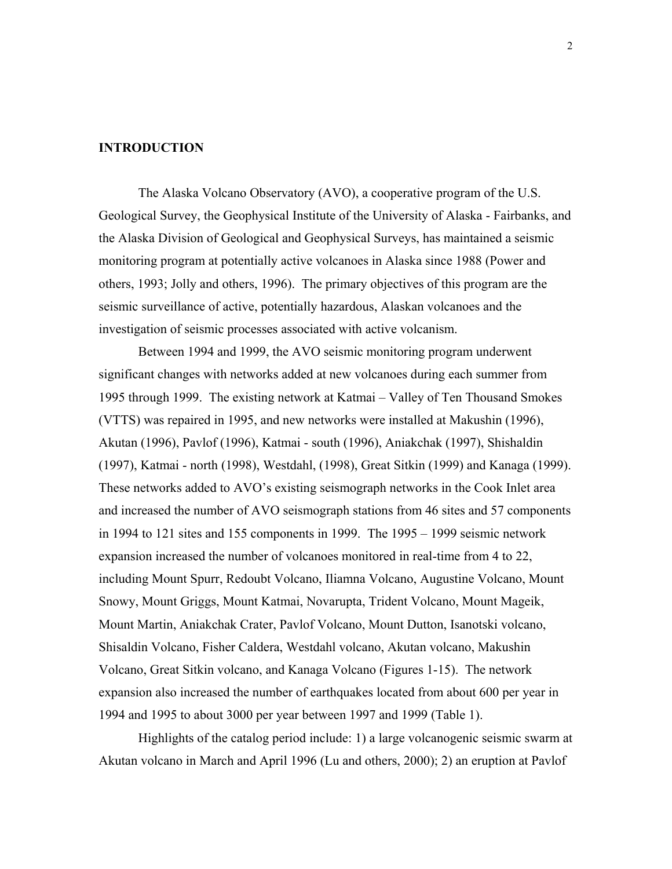# **INTRODUCTION**

The Alaska Volcano Observatory (AVO), a cooperative program of the U.S. Geological Survey, the Geophysical Institute of the University of Alaska - Fairbanks, and the Alaska Division of Geological and Geophysical Surveys, has maintained a seismic monitoring program at potentially active volcanoes in Alaska since 1988 (Power and others, 1993; Jolly and others, 1996). The primary objectives of this program are the seismic surveillance of active, potentially hazardous, Alaskan volcanoes and the investigation of seismic processes associated with active volcanism.

 Between 1994 and 1999, the AVO seismic monitoring program underwent significant changes with networks added at new volcanoes during each summer from 1995 through 1999. The existing network at Katmai – Valley of Ten Thousand Smokes (VTTS) was repaired in 1995, and new networks were installed at Makushin (1996), Akutan (1996), Pavlof (1996), Katmai - south (1996), Aniakchak (1997), Shishaldin (1997), Katmai - north (1998), Westdahl, (1998), Great Sitkin (1999) and Kanaga (1999). These networks added to AVO's existing seismograph networks in the Cook Inlet area and increased the number of AVO seismograph stations from 46 sites and 57 components in 1994 to 121 sites and 155 components in 1999. The 1995 – 1999 seismic network expansion increased the number of volcanoes monitored in real-time from 4 to 22, including Mount Spurr, Redoubt Volcano, Iliamna Volcano, Augustine Volcano, Mount Snowy, Mount Griggs, Mount Katmai, Novarupta, Trident Volcano, Mount Mageik, Mount Martin, Aniakchak Crater, Pavlof Volcano, Mount Dutton, Isanotski volcano, Shisaldin Volcano, Fisher Caldera, Westdahl volcano, Akutan volcano, Makushin Volcano, Great Sitkin volcano, and Kanaga Volcano (Figures 1-15). The network expansion also increased the number of earthquakes located from about 600 per year in 1994 and 1995 to about 3000 per year between 1997 and 1999 (Table 1).

Highlights of the catalog period include: 1) a large volcanogenic seismic swarm at Akutan volcano in March and April 1996 (Lu and others, 2000); 2) an eruption at Pavlof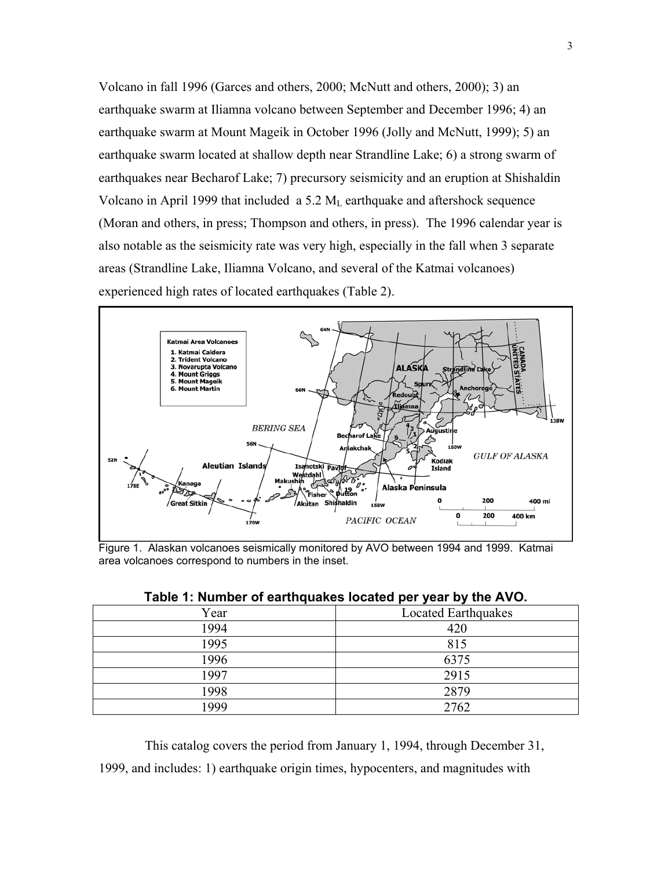Volcano in fall 1996 (Garces and others, 2000; McNutt and others, 2000); 3) an earthquake swarm at Iliamna volcano between September and December 1996; 4) an earthquake swarm at Mount Mageik in October 1996 (Jolly and McNutt, 1999); 5) an earthquake swarm located at shallow depth near Strandline Lake; 6) a strong swarm of earthquakes near Becharof Lake; 7) precursory seismicity and an eruption at Shishaldin Volcano in April 1999 that included a 5.2  $M_L$  earthquake and aftershock sequence (Moran and others, in press; Thompson and others, in press). The 1996 calendar year is also notable as the seismicity rate was very high, especially in the fall when 3 separate areas (Strandline Lake, Iliamna Volcano, and several of the Katmai volcanoes) experienced high rates of located earthquakes (Table 2).



Figure 1. Alaskan volcanoes seismically monitored by AVO between 1994 and 1999. Katmai area volcanoes correspond to numbers in the inset.

| $1800$ T. Nating to cartify and to calculate the search state $\sim$ |                     |  |
|----------------------------------------------------------------------|---------------------|--|
| Year                                                                 | Located Earthquakes |  |
| 1994                                                                 | 420                 |  |
| 1995                                                                 | 815                 |  |
| 1996                                                                 | 6375                |  |
| 1997                                                                 | 2915                |  |
| 1998                                                                 | 2879                |  |
| 1999                                                                 | 2762                |  |

| Table 1: Number of earthquakes located per year by the AVO. |  |  |  |
|-------------------------------------------------------------|--|--|--|
|-------------------------------------------------------------|--|--|--|

 This catalog covers the period from January 1, 1994, through December 31, 1999, and includes: 1) earthquake origin times, hypocenters, and magnitudes with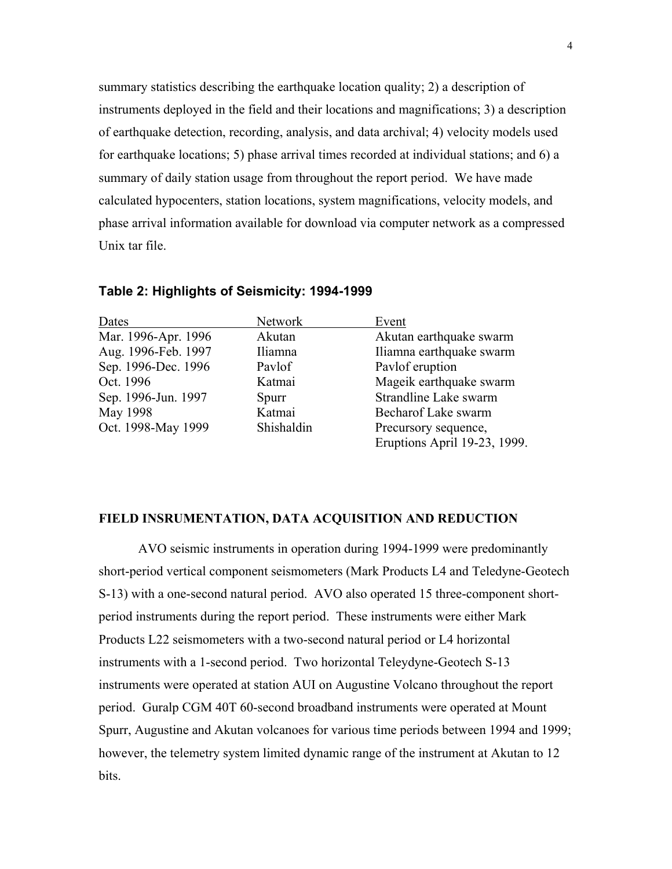summary statistics describing the earthquake location quality; 2) a description of instruments deployed in the field and their locations and magnifications; 3) a description of earthquake detection, recording, analysis, and data archival; 4) velocity models used for earthquake locations; 5) phase arrival times recorded at individual stations; and 6) a summary of daily station usage from throughout the report period. We have made calculated hypocenters, station locations, system magnifications, velocity models, and phase arrival information available for download via computer network as a compressed Unix tar file.

| Dates               | Network    | Event                        |
|---------------------|------------|------------------------------|
| Mar. 1996-Apr. 1996 | Akutan     | Akutan earthquake swarm      |
| Aug. 1996-Feb. 1997 | Iliamna    | Iliamna earthquake swarm     |
| Sep. 1996-Dec. 1996 | Paylof     | Pavlof eruption              |
| Oct. 1996           | Katmai     | Mageik earthquake swarm      |
| Sep. 1996-Jun. 1997 | Spurr      | Strandline Lake swarm        |
| May 1998            | Katmai     | Becharof Lake swarm          |
| Oct. 1998-May 1999  | Shishaldin | Precursory sequence,         |
|                     |            | Eruptions April 19-23, 1999. |

#### **Table 2: Highlights of Seismicity: 1994-1999**

#### **FIELD INSRUMENTATION, DATA ACQUISITION AND REDUCTION**

 AVO seismic instruments in operation during 1994-1999 were predominantly short-period vertical component seismometers (Mark Products L4 and Teledyne-Geotech S-13) with a one-second natural period. AVO also operated 15 three-component shortperiod instruments during the report period. These instruments were either Mark Products L22 seismometers with a two-second natural period or L4 horizontal instruments with a 1-second period. Two horizontal Teleydyne-Geotech S-13 instruments were operated at station AUI on Augustine Volcano throughout the report period. Guralp CGM 40T 60-second broadband instruments were operated at Mount Spurr, Augustine and Akutan volcanoes for various time periods between 1994 and 1999; however, the telemetry system limited dynamic range of the instrument at Akutan to 12 bits.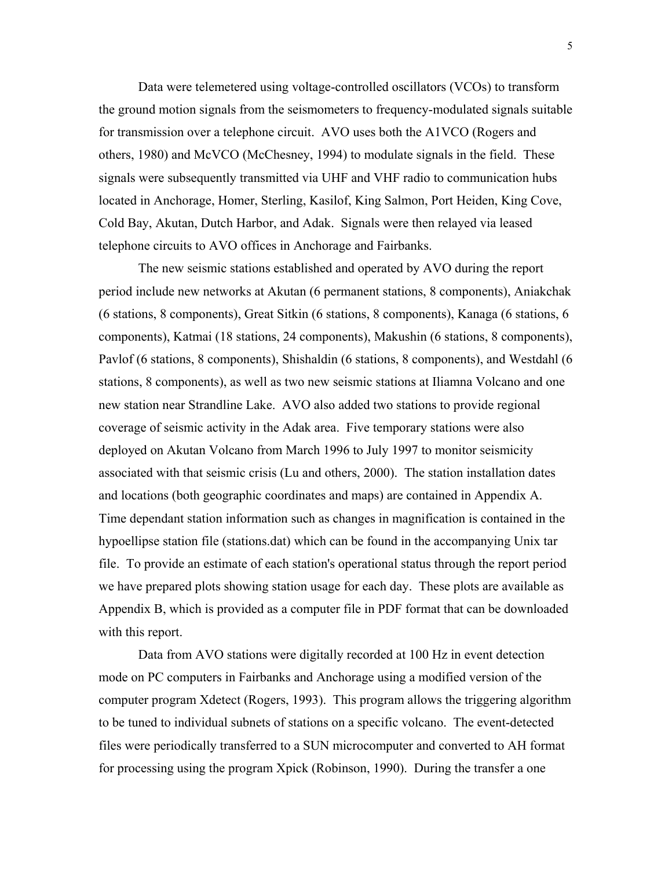Data were telemetered using voltage-controlled oscillators (VCOs) to transform the ground motion signals from the seismometers to frequency-modulated signals suitable for transmission over a telephone circuit. AVO uses both the A1VCO (Rogers and others, 1980) and McVCO (McChesney, 1994) to modulate signals in the field. These signals were subsequently transmitted via UHF and VHF radio to communication hubs located in Anchorage, Homer, Sterling, Kasilof, King Salmon, Port Heiden, King Cove, Cold Bay, Akutan, Dutch Harbor, and Adak. Signals were then relayed via leased telephone circuits to AVO offices in Anchorage and Fairbanks.

The new seismic stations established and operated by AVO during the report period include new networks at Akutan (6 permanent stations, 8 components), Aniakchak (6 stations, 8 components), Great Sitkin (6 stations, 8 components), Kanaga (6 stations, 6 components), Katmai (18 stations, 24 components), Makushin (6 stations, 8 components), Pavlof (6 stations, 8 components), Shishaldin (6 stations, 8 components), and Westdahl (6 stations, 8 components), as well as two new seismic stations at Iliamna Volcano and one new station near Strandline Lake. AVO also added two stations to provide regional coverage of seismic activity in the Adak area. Five temporary stations were also deployed on Akutan Volcano from March 1996 to July 1997 to monitor seismicity associated with that seismic crisis (Lu and others, 2000). The station installation dates and locations (both geographic coordinates and maps) are contained in Appendix A. Time dependant station information such as changes in magnification is contained in the hypoellipse station file (stations.dat) which can be found in the accompanying Unix tar file. To provide an estimate of each station's operational status through the report period we have prepared plots showing station usage for each day. These plots are available as Appendix B, which is provided as a computer file in PDF format that can be downloaded with this report.

Data from AVO stations were digitally recorded at 100 Hz in event detection mode on PC computers in Fairbanks and Anchorage using a modified version of the computer program Xdetect (Rogers, 1993). This program allows the triggering algorithm to be tuned to individual subnets of stations on a specific volcano. The event-detected files were periodically transferred to a SUN microcomputer and converted to AH format for processing using the program Xpick (Robinson, 1990). During the transfer a one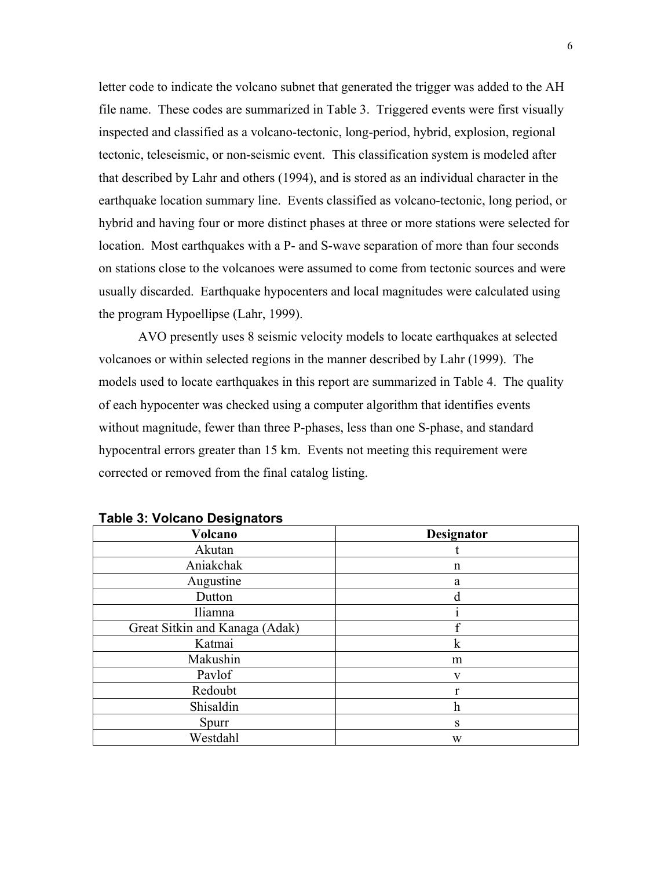letter code to indicate the volcano subnet that generated the trigger was added to the AH file name. These codes are summarized in Table 3. Triggered events were first visually inspected and classified as a volcano-tectonic, long-period, hybrid, explosion, regional tectonic, teleseismic, or non-seismic event. This classification system is modeled after that described by Lahr and others (1994), and is stored as an individual character in the earthquake location summary line. Events classified as volcano-tectonic, long period, or hybrid and having four or more distinct phases at three or more stations were selected for location. Most earthquakes with a P- and S-wave separation of more than four seconds on stations close to the volcanoes were assumed to come from tectonic sources and were usually discarded. Earthquake hypocenters and local magnitudes were calculated using the program Hypoellipse (Lahr, 1999).

AVO presently uses 8 seismic velocity models to locate earthquakes at selected volcanoes or within selected regions in the manner described by Lahr (1999). The models used to locate earthquakes in this report are summarized in Table 4. The quality of each hypocenter was checked using a computer algorithm that identifies events without magnitude, fewer than three P-phases, less than one S-phase, and standard hypocentral errors greater than 15 km. Events not meeting this requirement were corrected or removed from the final catalog listing.

| Volcano                        | Designator   |
|--------------------------------|--------------|
| Akutan                         |              |
| Aniakchak                      | n            |
| Augustine                      | a            |
| Dutton                         | d            |
| Iliamna                        |              |
| Great Sitkin and Kanaga (Adak) | f            |
| Katmai                         | $\mathbf k$  |
| Makushin                       | m            |
| Pavlof                         | $\mathbf{V}$ |
| Redoubt                        |              |
| Shisaldin                      | h            |
| Spurr                          | S            |
| Westdahl                       | W            |

#### **Table 3: Volcano Designators**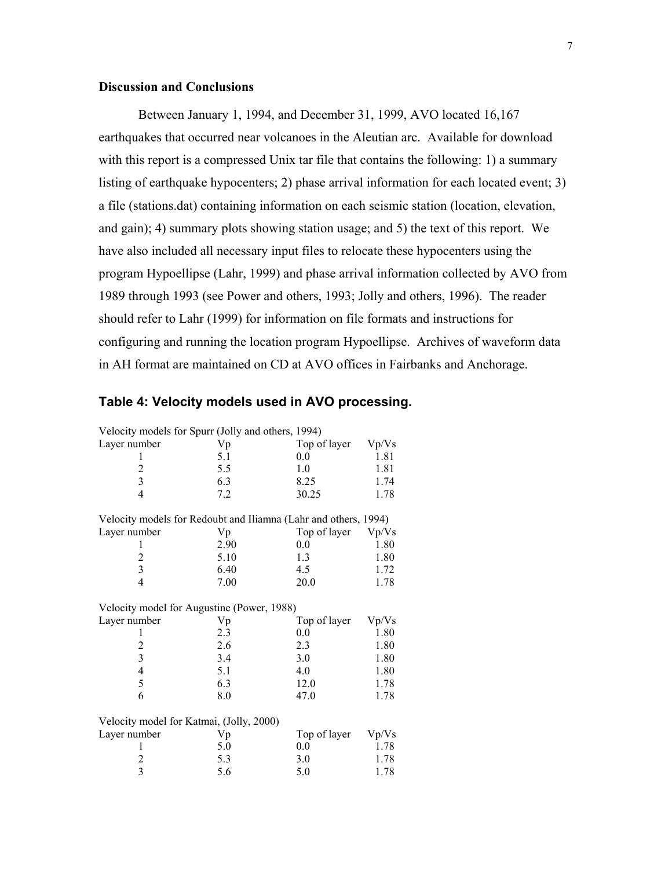## **Discussion and Conclusions**

Between January 1, 1994, and December 31, 1999, AVO located 16,167 earthquakes that occurred near volcanoes in the Aleutian arc. Available for download with this report is a compressed Unix tar file that contains the following: 1) a summary listing of earthquake hypocenters; 2) phase arrival information for each located event; 3) a file (stations.dat) containing information on each seismic station (location, elevation, and gain); 4) summary plots showing station usage; and 5) the text of this report. We have also included all necessary input files to relocate these hypocenters using the program Hypoellipse (Lahr, 1999) and phase arrival information collected by AVO from 1989 through 1993 (see Power and others, 1993; Jolly and others, 1996). The reader should refer to Lahr (1999) for information on file formats and instructions for configuring and running the location program Hypoellipse. Archives of waveform data in AH format are maintained on CD at AVO offices in Fairbanks and Anchorage.

| Velocity models for Spurr (Jolly and others, 1994)              |            |                     |               |
|-----------------------------------------------------------------|------------|---------------------|---------------|
| Layer number                                                    | Vp         | Top of layer        | Vp/Vs         |
| 1                                                               | 5.1        | 0.0                 | 1.81          |
| $\overline{c}$                                                  | 5.5        | 1.0                 | 1.81          |
| $\overline{3}$                                                  | 6.3        | 8.25                | 1.74          |
| $\overline{4}$                                                  | 7.2        | 30.25               | 1.78          |
| Velocity models for Redoubt and Iliamna (Lahr and others, 1994) |            |                     |               |
| Layer number                                                    | Vp         | Top of layer        | Vp/Vs         |
| 1                                                               | 2.90       | 0.0                 | 1.80          |
| $\overline{\mathbf{c}}$                                         | 5.10       | 1.3                 | 1.80          |
| $\overline{\mathbf{3}}$                                         | 6.40       | 4.5                 | 1.72          |
| $\overline{4}$                                                  | 7.00       | 20.0                | 1.78          |
| Velocity model for Augustine (Power, 1988)                      |            |                     |               |
|                                                                 |            |                     |               |
|                                                                 |            |                     |               |
| Layer number<br>1                                               | Vp<br>2.3  | Top of layer<br>0.0 | Vp/Vs<br>1.80 |
|                                                                 | 2.6        | 2.3                 | 1.80          |
|                                                                 | 3.4        | 3.0                 | 1.80          |
| $\frac{2}{3}$<br>$\overline{4}$                                 | 5.1        | 4.0                 | 1.80          |
| 5                                                               | 6.3        | 12.0                | 1.78          |
| 6                                                               | 8.0        | 47.0                | 1.78          |
|                                                                 |            |                     |               |
| Velocity model for Katmai, (Jolly, 2000)                        |            |                     |               |
| Layer number<br>1                                               | Vp         | Top of layer<br>0.0 | Vp/Vs         |
| $\overline{c}$                                                  | 5.0<br>5.3 | 3.0                 | 1.78<br>1.78  |

## **Table 4: Velocity models used in AVO processing.**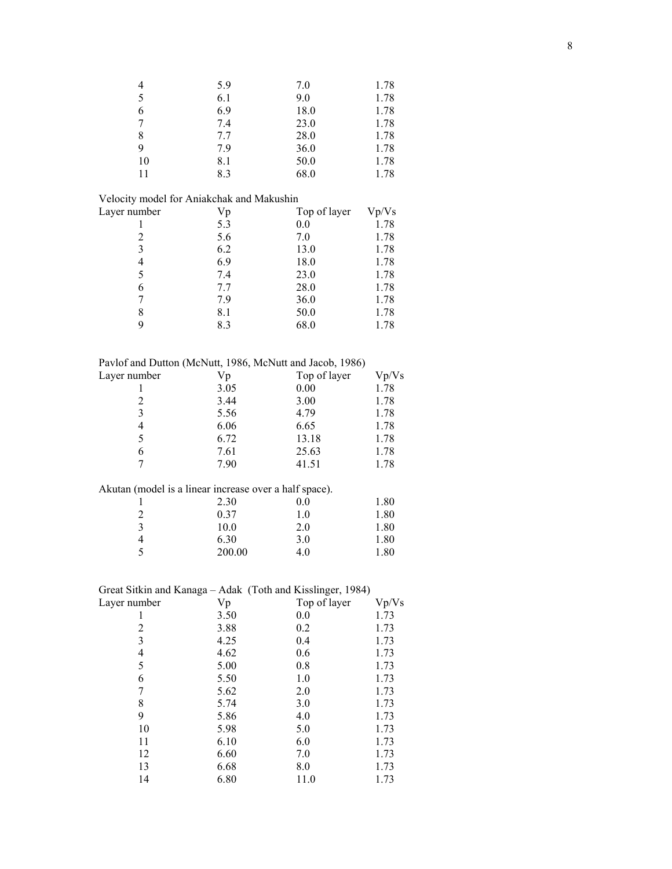| $\overline{4}$                                             | 5.9    | 7.0          | 1.78  |
|------------------------------------------------------------|--------|--------------|-------|
| 5                                                          | 6.1    | 9.0          | 1.78  |
| 6                                                          | 6.9    | 18.0         | 1.78  |
| $\boldsymbol{7}$                                           | 7.4    | 23.0         | 1.78  |
| 8                                                          | 7.7    | 28.0         | 1.78  |
| 9                                                          | 7.9    | 36.0         | 1.78  |
| 10                                                         | 8.1    | 50.0         | 1.78  |
| 11                                                         | 8.3    | 68.0         | 1.78  |
|                                                            |        |              |       |
| Velocity model for Aniakchak and Makushin                  |        |              |       |
| Layer number                                               | Vp     | Top of layer | Vp/Vs |
| $\mathbf{1}$                                               | 5.3    | 0.0          | 1.78  |
| $\overline{2}$                                             | 5.6    | 7.0          | 1.78  |
| 3                                                          | 6.2    | 13.0         | 1.78  |
| $\overline{4}$                                             | 6.9    | 18.0         | 1.78  |
| 5                                                          | 7.4    | 23.0         | 1.78  |
| 6                                                          | 7.7    | 28.0         | 1.78  |
| $\boldsymbol{7}$                                           | 7.9    | 36.0         | 1.78  |
| 8                                                          | 8.1    | 50.0         | 1.78  |
| 9                                                          | 8.3    | 68.0         | 1.78  |
|                                                            |        |              |       |
|                                                            |        |              |       |
| Pavlof and Dutton (McNutt, 1986, McNutt and Jacob, 1986)   |        |              |       |
| Layer number                                               | Vp     | Top of layer | Vp/Vs |
| 1                                                          | 3.05   | 0.00         | 1.78  |
| $\overline{c}$                                             | 3.44   | 3.00         | 1.78  |
| 3                                                          | 5.56   | 4.79         | 1.78  |
| $\overline{4}$                                             | 6.06   | 6.65         | 1.78  |
| 5                                                          | 6.72   | 13.18        | 1.78  |
| 6                                                          | 7.61   | 25.63        | 1.78  |
| 7                                                          | 7.90   | 41.51        | 1.78  |
| Akutan (model is a linear increase over a half space).     |        |              |       |
|                                                            | 2.30   | 0.0          | 1.80  |
| 1                                                          | 0.37   | 1.0          |       |
| $\overline{c}$<br>3                                        |        |              | 1.80  |
| $\overline{4}$                                             | 10.0   | 2.0          | 1.80  |
| 5                                                          | 6.30   | 3.0          | 1.80  |
|                                                            | 200.00 | 4.0          | 1.80  |
|                                                            |        |              |       |
| Great Sitkin and Kanaga - Adak (Toth and Kisslinger, 1984) |        |              |       |
| Layer number                                               | Vp     | Top of layer | Vp/Vs |
| 1                                                          | 3.50   | 0.0          | 1.73  |
| $\overline{c}$                                             | 3.88   | 0.2          | 1.73  |
| 3                                                          | 4.25   | 0.4          | 1.73  |
| $\overline{\mathcal{L}}$                                   | 4.62   | 0.6          | 1.73  |
| 5                                                          | 5.00   | 0.8          | 1.73  |
| 6                                                          | 5.50   | 1.0          | 1.73  |
| $\overline{7}$                                             | 5.62   | 2.0          | 1.73  |
| $\,$ $\,$                                                  | 5.74   | 3.0          | 1.73  |
| 9                                                          | 5.86   | 4.0          | 1.73  |
| 10                                                         | 5.98   | 5.0          | 1.73  |
| 11                                                         | 6.10   | 6.0          | 1.73  |
| 12                                                         | 6.60   | 7.0          | 1.73  |
| 13                                                         | 6.68   | 8.0          | 1.73  |
| 14                                                         | 6.80   | 11.0         | 1.73  |
|                                                            |        |              |       |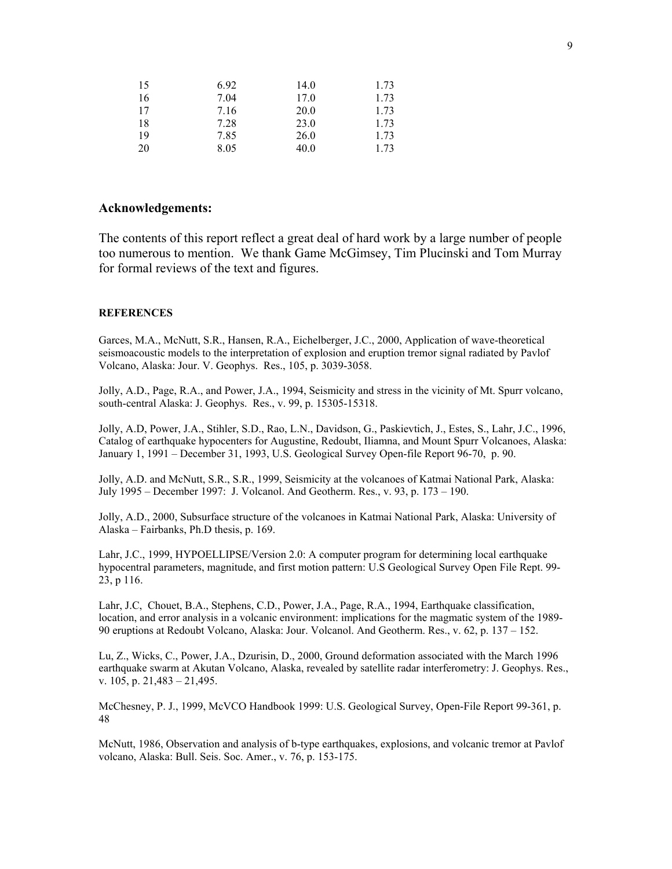| 15 | 6.92 | 14.0 | 1.73 |
|----|------|------|------|
| 16 | 7.04 | 17.0 | 1.73 |
| 17 | 7.16 | 20.0 | 1.73 |
| 18 | 7.28 | 23.0 | 1.73 |
| 19 | 7.85 | 26.0 | 1.73 |
| 20 | 8.05 | 40.0 | 1.73 |

#### **Acknowledgements:**

The contents of this report reflect a great deal of hard work by a large number of people too numerous to mention.We thank Game McGimsey, Tim Plucinski and Tom Murray for formal reviews of the text and figures.

#### **REFERENCES**

Garces, M.A., McNutt, S.R., Hansen, R.A., Eichelberger, J.C., 2000, Application of wave-theoretical seismoacoustic models to the interpretation of explosion and eruption tremor signal radiated by Pavlof Volcano, Alaska: Jour. V. Geophys. Res., 105, p. 3039-3058.

Jolly, A.D., Page, R.A., and Power, J.A., 1994, Seismicity and stress in the vicinity of Mt. Spurr volcano, south-central Alaska: J. Geophys. Res., v. 99, p. 15305-15318.

Jolly, A.D, Power, J.A., Stihler, S.D., Rao, L.N., Davidson, G., Paskievtich, J., Estes, S., Lahr, J.C., 1996, Catalog of earthquake hypocenters for Augustine, Redoubt, Iliamna, and Mount Spurr Volcanoes, Alaska: January 1, 1991 – December 31, 1993, U.S. Geological Survey Open-file Report 96-70, p. 90.

Jolly, A.D. and McNutt, S.R., S.R., 1999, Seismicity at the volcanoes of Katmai National Park, Alaska: July 1995 – December 1997: J. Volcanol. And Geotherm. Res., v. 93, p. 173 – 190.

Jolly, A.D., 2000, Subsurface structure of the volcanoes in Katmai National Park, Alaska: University of Alaska – Fairbanks, Ph.D thesis, p. 169.

Lahr, J.C., 1999, HYPOELLIPSE/Version 2.0: A computer program for determining local earthquake hypocentral parameters, magnitude, and first motion pattern: U.S Geological Survey Open File Rept. 99- 23, p 116.

Lahr, J.C, Chouet, B.A., Stephens, C.D., Power, J.A., Page, R.A., 1994, Earthquake classification, location, and error analysis in a volcanic environment: implications for the magmatic system of the 1989-90 eruptions at Redoubt Volcano, Alaska: Jour. Volcanol. And Geotherm. Res., v. 62, p. 137 – 152.

Lu, Z., Wicks, C., Power, J.A., Dzurisin, D., 2000, Ground deformation associated with the March 1996 earthquake swarm at Akutan Volcano, Alaska, revealed by satellite radar interferometry: J. Geophys. Res., v. 105, p. 21,483 – 21,495.

McChesney, P. J., 1999, McVCO Handbook 1999: U.S. Geological Survey, Open-File Report 99-361, p. 48

McNutt, 1986, Observation and analysis of b-type earthquakes, explosions, and volcanic tremor at Pavlof volcano, Alaska: Bull. Seis. Soc. Amer., v. 76, p. 153-175.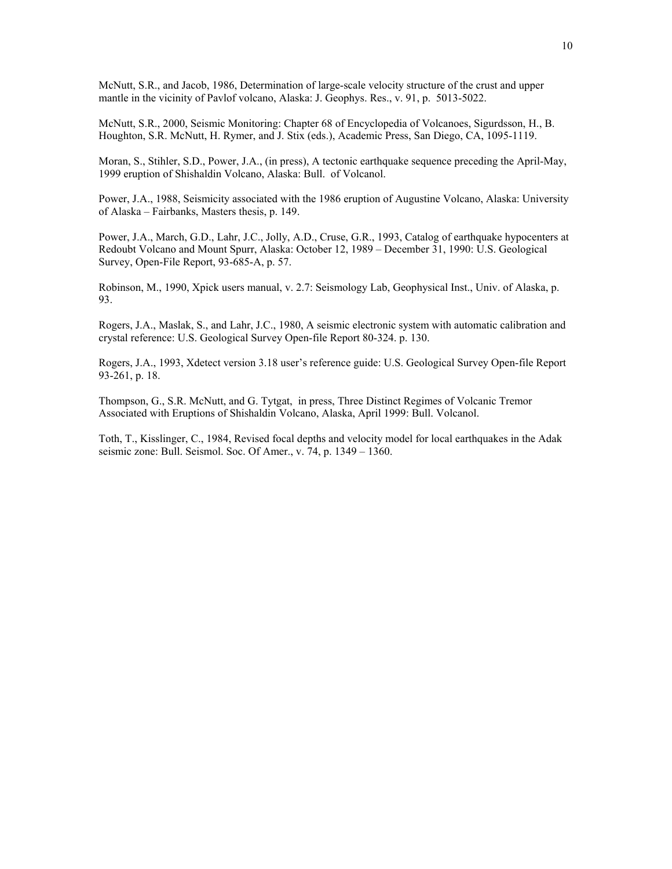McNutt, S.R., and Jacob, 1986, Determination of large-scale velocity structure of the crust and upper mantle in the vicinity of Pavlof volcano, Alaska: J. Geophys. Res., v. 91, p. 5013-5022.

McNutt, S.R., 2000, Seismic Monitoring: Chapter 68 of Encyclopedia of Volcanoes, Sigurdsson, H., B. Houghton, S.R. McNutt, H. Rymer, and J. Stix (eds.), Academic Press, San Diego, CA, 1095-1119.

Moran, S., Stihler, S.D., Power, J.A., (in press), A tectonic earthquake sequence preceding the April-May, 1999 eruption of Shishaldin Volcano, Alaska: Bull. of Volcanol.

Power, J.A., 1988, Seismicity associated with the 1986 eruption of Augustine Volcano, Alaska: University of Alaska – Fairbanks, Masters thesis, p. 149.

Power, J.A., March, G.D., Lahr, J.C., Jolly, A.D., Cruse, G.R., 1993, Catalog of earthquake hypocenters at Redoubt Volcano and Mount Spurr, Alaska: October 12, 1989 – December 31, 1990: U.S. Geological Survey, Open-File Report, 93-685-A, p. 57.

Robinson, M., 1990, Xpick users manual, v. 2.7: Seismology Lab, Geophysical Inst., Univ. of Alaska, p. 93.

Rogers, J.A., Maslak, S., and Lahr, J.C., 1980, A seismic electronic system with automatic calibration and crystal reference: U.S. Geological Survey Open-file Report 80-324. p. 130.

Rogers, J.A., 1993, Xdetect version 3.18 user's reference guide: U.S. Geological Survey Open-file Report 93-261, p. 18.

Thompson, G., S.R. McNutt, and G. Tytgat, in press, Three Distinct Regimes of Volcanic Tremor Associated with Eruptions of Shishaldin Volcano, Alaska, April 1999: Bull. Volcanol.

Toth, T., Kisslinger, C., 1984, Revised focal depths and velocity model for local earthquakes in the Adak seismic zone: Bull. Seismol. Soc. Of Amer., v. 74, p. 1349 – 1360.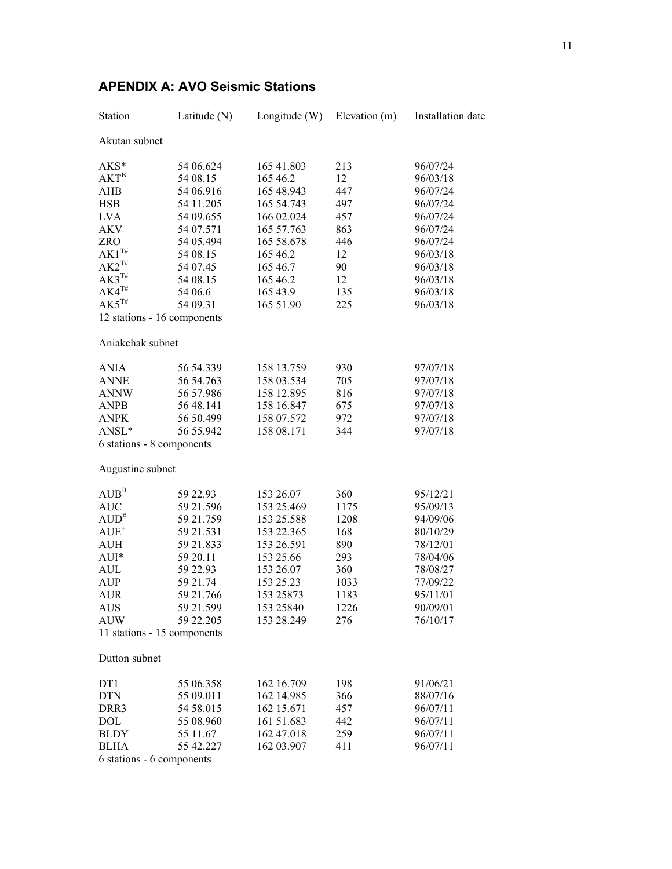| <b>Station</b>              | Latitude $(N)$ | Longitude $(W)$ | Elevation $(m)$ | Installation date |
|-----------------------------|----------------|-----------------|-----------------|-------------------|
| Akutan subnet               |                |                 |                 |                   |
| $AKS*$                      | 54 06.624      | 165 41.803      | 213             | 96/07/24          |
| $AKT^B$                     | 54 08.15       | 165 46.2        | 12              | 96/03/18          |
| <b>AHB</b>                  | 54 06.916      | 165 48.943      | 447             | 96/07/24          |
| <b>HSB</b>                  | 54 11.205      | 165 54.743      | 497             | 96/07/24          |
| <b>LVA</b>                  | 54 09.655      | 166 02.024      | 457             | 96/07/24          |
| <b>AKV</b>                  | 54 07.571      | 165 57.763      | 863             | 96/07/24          |
| ZRO                         | 54 05.494      | 165 58.678      | 446             | 96/07/24          |
| $AK1^{T#}$                  | 54 08.15       | 165 46.2        | 12              | 96/03/18          |
| $AK2^{T#}$                  | 54 07.45       | 165 46.7        | 90              | 96/03/18          |
| $AK3^{T#}$                  | 54 08.15       | 165 46.2        | 12              | 96/03/18          |
| $AK4^{T#}$                  | 54 06.6        | 165 43.9        | 135             | 96/03/18          |
| $AK5^{T#}$                  | 54 09.31       | 165 51.90       | 225             | 96/03/18          |
| 12 stations - 16 components |                |                 |                 |                   |
| Aniakchak subnet            |                |                 |                 |                   |
| <b>ANIA</b>                 | 56 54.339      | 158 13.759      | 930             | 97/07/18          |
| <b>ANNE</b>                 | 56 54.763      | 158 03.534      | 705             | 97/07/18          |
| <b>ANNW</b>                 | 56 57.986      | 158 12.895      | 816             | 97/07/18          |
| <b>ANPB</b>                 | 56 48.141      | 158 16.847      | 675             | 97/07/18          |
| <b>ANPK</b>                 | 56 50.499      | 158 07.572      | 972             | 97/07/18          |
| ANSL*                       | 56 55.942      | 158 08.171      | 344             | 97/07/18          |
| 6 stations - 8 components   |                |                 |                 |                   |
| Augustine subnet            |                |                 |                 |                   |
| $AUB^B$                     | 59 22.93       | 153 26.07       | 360             | 95/12/21          |
| <b>AUC</b>                  | 59 21.596      | 153 25.469      | 1175            | 95/09/13          |
| $AUD^*$                     | 59 21.759      | 153 25.588      | 1208            | 94/09/06          |
| $AUE^+$                     | 59 21.531      | 153 22.365      | 168             | 80/10/29          |
| <b>AUH</b>                  | 59 21.833      | 153 26.591      | 890             | 78/12/01          |
| $AUI*$                      | 59 20.11       | 153 25.66       | 293             | 78/04/06          |
| <b>AUL</b>                  | 59 22.93       | 153 26.07       | 360             | 78/08/27          |
| <b>AUP</b>                  | 59 21.74       | 153 25.23       | 1033            | 77/09/22          |
| AUR                         | 59 21.766      | 153 25873       | 1183            | 95/11/01          |
| <b>AUS</b>                  | 59 21.599      | 153 25840       | 1226            | 90/09/01          |
| <b>AUW</b>                  | 59 22.205      | 153 28.249      | 276             | 76/10/17          |
| 11 stations - 15 components |                |                 |                 |                   |
| Dutton subnet               |                |                 |                 |                   |
| DT1                         | 55 06.358      | 162 16.709      | 198             | 91/06/21          |
| <b>DTN</b>                  | 55 09.011      | 162 14.985      | 366             | 88/07/16          |
| DRR3                        | 54 58.015      | 162 15.671      | 457             | 96/07/11          |
| DOL                         | 55 08.960      | 161 51.683      | 442             | 96/07/11          |
| <b>BLDY</b>                 | 55 11.67       | 162 47.018      | 259             | 96/07/11          |
| <b>BLHA</b>                 | 55 42.227      | 162 03.907      | 411             | 96/07/11          |

# **APENDIX A: AVO Seismic Stations**

6 stations - 6 components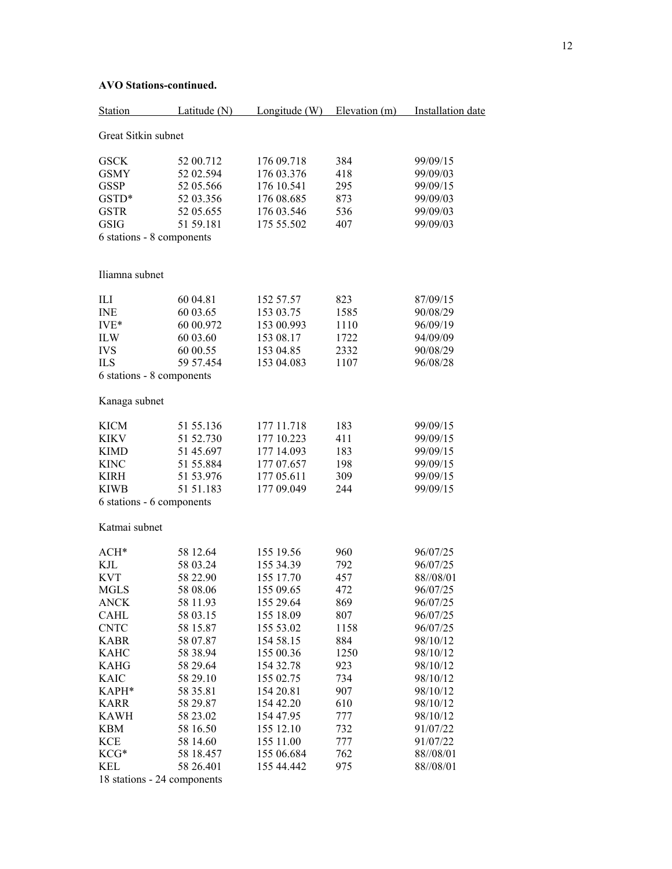| Station                   | Latitude (N) | Longitude $(W)$ | Elevation (m) | Installation date |
|---------------------------|--------------|-----------------|---------------|-------------------|
| Great Sitkin subnet       |              |                 |               |                   |
| <b>GSCK</b>               | 52 00.712    | 176 09.718      | 384           | 99/09/15          |
| <b>GSMY</b>               | 52 02.594    | 176 03.376      | 418           | 99/09/03          |
| <b>GSSP</b>               | 52 05.566    | 176 10.541      | 295           | 99/09/15          |
| GSTD*                     | 52 03.356    | 176 08.685      | 873           | 99/09/03          |
| <b>GSTR</b>               |              | 176 03.546      | 536           | 99/09/03          |
|                           | 52 05.655    |                 |               |                   |
| <b>GSIG</b>               | 51 59.181    | 175 55.502      | 407           | 99/09/03          |
| 6 stations - 8 components |              |                 |               |                   |
| Iliamna subnet            |              |                 |               |                   |
| ILI                       | 60 04.81     | 152 57.57       | 823           | 87/09/15          |
| <b>INE</b>                | 60 03.65     | 153 03.75       | 1585          | 90/08/29          |
| $IVE*$                    | 60 00.972    | 153 00.993      | 1110          | 96/09/19          |
| <b>ILW</b>                | 60 03.60     | 153 08.17       | 1722          | 94/09/09          |
| <b>IVS</b>                | 60 00.55     | 153 04.85       | 2332          | 90/08/29          |
| <b>ILS</b>                | 59 57.454    | 153 04.083      | 1107          | 96/08/28          |
| 6 stations - 8 components |              |                 |               |                   |
| Kanaga subnet             |              |                 |               |                   |
| <b>KICM</b>               | 51 55.136    | 177 11.718      | 183           | 99/09/15          |
| KIKV                      | 51 52.730    | 177 10.223      | 411           | 99/09/15          |
| <b>KIMD</b>               | 51 45.697    | 177 14.093      | 183           | 99/09/15          |
| <b>KINC</b>               | 51 55.884    | 177 07.657      | 198           | 99/09/15          |
| <b>KIRH</b>               | 51 53.976    | 177 05.611      | 309           | 99/09/15          |
| <b>KIWB</b>               | 51 51 183    | 177 09.049      | 244           | 99/09/15          |
| 6 stations - 6 components |              |                 |               |                   |
| Katmai subnet             |              |                 |               |                   |
| $ACH*$                    | 58 12.64     | 155 19.56       | 960           | 96/07/25          |
| KJL                       | 58 03.24     | 155 34.39       | 792           | 96/07/25          |
| <b>KVT</b>                | 58 22.90     | 155 17.70       | 457           | 88//08/01         |
| <b>MGLS</b>               | 58 08.06     | 155 09.65       | 472           | 96/07/25          |
| <b>ANCK</b>               | 58 11.93     | 155 29.64       | 869           | 96/07/25          |
| CAHL                      | 58 03.15     | 155 18.09       | 807           | 96/07/25          |
| <b>CNTC</b>               | 58 15.87     | 155 53.02       | 1158          | 96/07/25          |
| <b>KABR</b>               | 58 07.87     | 154 58.15       | 884           | 98/10/12          |
| <b>KAHC</b>               | 58 38.94     | 155 00.36       | 1250          | 98/10/12          |
| <b>KAHG</b>               | 58 29.64     | 154 32.78       | 923           | 98/10/12          |
| <b>KAIC</b>               | 58 29.10     | 155 02.75       | 734           | 98/10/12          |
| KAPH*                     | 58 35.81     | 154 20.81       | 907           | 98/10/12          |
| <b>KARR</b>               | 58 29.87     | 154 42.20       | 610           | 98/10/12          |
| <b>KAWH</b>               | 58 23.02     | 154 47.95       | 777           | 98/10/12          |
| <b>KBM</b>                | 58 16.50     | 155 12.10       | 732           | 91/07/22          |
| <b>KCE</b>                | 58 14.60     | 155 11.00       | 777           | 91/07/22          |
| KCG*                      | 58 18.457    | 155 06.684      | 762           | 88//08/01         |
| KEL                       | 58 26.401    | 155 44.442      | 975           | 88//08/01         |
|                           |              |                 |               |                   |

## **AVO Stations-continued.**

18 stations - 24 components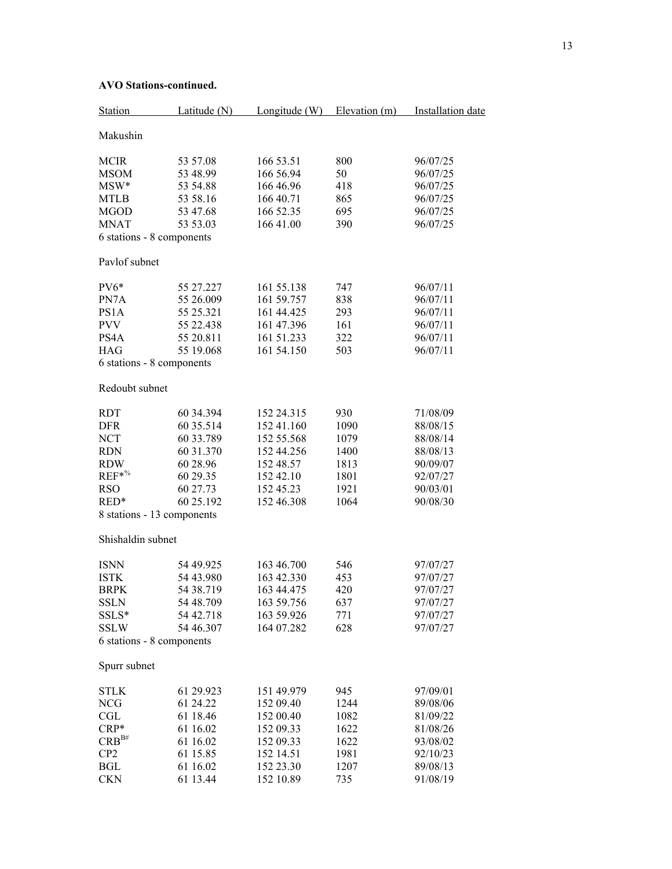| Station                                  | Latitude (N) | Longitude $(W)$ | Elevation (m) | Installation date |
|------------------------------------------|--------------|-----------------|---------------|-------------------|
| Makushin                                 |              |                 |               |                   |
| <b>MCIR</b>                              | 53 57.08     | 166 53.51       | 800           | 96/07/25          |
| <b>MSOM</b>                              | 53 48.99     | 166 56.94       | 50            | 96/07/25          |
| $MSW*$                                   | 53 54.88     | 166 46.96       | 418           | 96/07/25          |
| <b>MTLB</b>                              | 53 58.16     | 166 40.71       | 865           | 96/07/25          |
| MGOD                                     | 53 47.68     | 166 52.35       | 695           | 96/07/25          |
| <b>MNAT</b>                              | 53 53.03     | 166 41.00       | 390           | 96/07/25          |
| 6 stations - 8 components                |              |                 |               |                   |
| Pavlof subnet                            |              |                 |               |                   |
|                                          |              |                 |               |                   |
| PV6*                                     | 55 27.227    | 161 55.138      | 747           | 96/07/11          |
| PN7A                                     | 55 26.009    | 161 59.757      | 838           | 96/07/11          |
| PS1A                                     | 55 25.321    | 161 44.425      | 293           | 96/07/11          |
| <b>PVV</b>                               | 55 22.438    | 161 47.396      | 161           | 96/07/11          |
| PS4A                                     | 55 20.811    | 161 51.233      | 322           | 96/07/11          |
| <b>HAG</b>                               | 55 19.068    | 161 54.150      | 503           | 96/07/11          |
| 6 stations - 8 components                |              |                 |               |                   |
| Redoubt subnet                           |              |                 |               |                   |
| <b>RDT</b>                               | 60 34.394    | 152 24.315      | 930           | 71/08/09          |
| <b>DFR</b>                               | 60 35.514    | 152 41.160      | 1090          | 88/08/15          |
| <b>NCT</b>                               | 60 33.789    | 152 55.568      | 1079          | 88/08/14          |
| <b>RDN</b>                               | 60 31.370    | 152 44.256      | 1400          | 88/08/13          |
|                                          |              |                 |               |                   |
| <b>RDW</b>                               | 60 28.96     | 152 48.57       | 1813          | 90/09/07          |
| $REF*%$                                  | 60 29.35     | 152 42.10       | 1801          | 92/07/27          |
| <b>RSO</b>                               | 60 27.73     | 152 45.23       | 1921          | 90/03/01          |
| RED*                                     | 60 25.192    | 152 46.308      | 1064          | 90/08/30          |
| 8 stations - 13 components               |              |                 |               |                   |
| Shishaldin subnet                        |              |                 |               |                   |
| <b>ISNN</b>                              | 54 49.925    | 163 46.700      | 546           | 97/07/27          |
| <b>ISTK</b>                              | 54 43.980    | 163 42.330      | 453           | 97/07/27          |
| <b>BRPK</b>                              | 54 38.719    | 163 44.475      | 420           | 97/07/27          |
| <b>SSLN</b>                              | 54 48.709    | 163 59.756      | 637           | 97/07/27          |
| SSLS*                                    | 54 42.718    | 163 59.926      | 771           | 97/07/27          |
|                                          |              |                 |               |                   |
| <b>SSLW</b><br>6 stations - 8 components | 54 46.307    | 164 07.282      | 628           | 97/07/27          |
|                                          |              |                 |               |                   |
| Spurr subnet                             |              |                 |               |                   |
| <b>STLK</b>                              | 61 29.923    | 151 49.979      | 945           | 97/09/01          |
| <b>NCG</b>                               | 61 24.22     | 152 09.40       | 1244          | 89/08/06          |
| CGL                                      | 61 18.46     | 152 00.40       | 1082          | 81/09/22          |
| $CRP*$                                   | 61 16.02     | 152 09.33       | 1622          | 81/08/26          |
| $CRB^{B#}$                               | 61 16.02     | 152 09.33       | 1622          | 93/08/02          |
| CP <sub>2</sub>                          | 61 15.85     | 152 14.51       | 1981          | 92/10/23          |
| <b>BGL</b>                               | 61 16.02     | 152 23.30       | 1207          | 89/08/13          |
|                                          |              |                 |               |                   |
| <b>CKN</b>                               | 61 13.44     | 152 10.89       | 735           | 91/08/19          |

# **AVO Stations-continued.**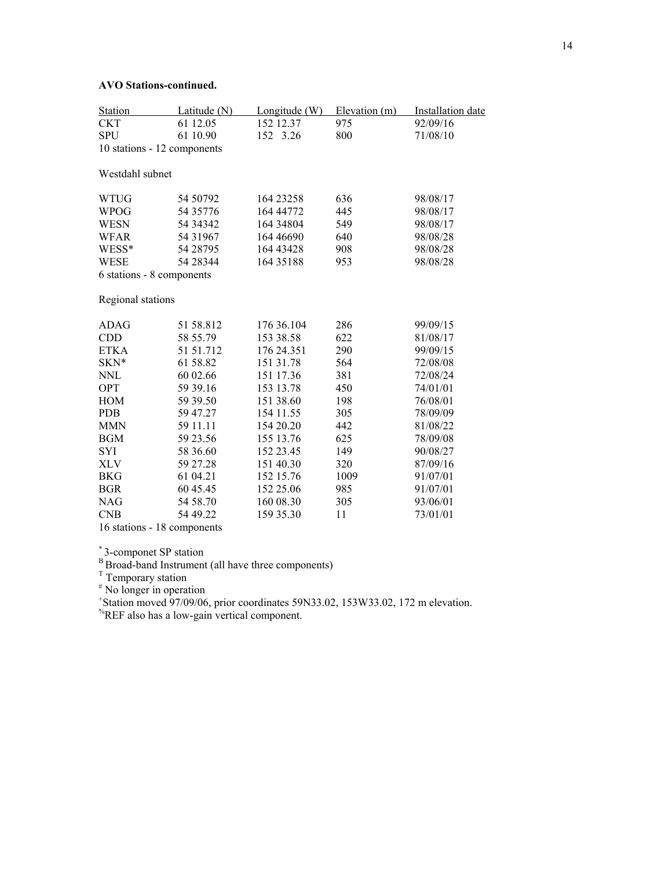# **AVO Stations-continued.**

| Station                     | Latitude $(N)$ | Longitude (W) | Elevation (m) | <b>Installation</b> date |
|-----------------------------|----------------|---------------|---------------|--------------------------|
| <b>CKT</b>                  | 61 12.05       | 152 12.37     | 975           | 92/09/16                 |
| <b>SPU</b>                  | 61 10.90       | 152 3.26      | 800           | 71/08/10                 |
| 10 stations - 12 components |                |               |               |                          |
| Westdahl subnet             |                |               |               |                          |
| <b>WTUG</b>                 | 54 50792       | 164 23258     | 636           | 98/08/17                 |
| WPOG                        | 54 35776       | 164 44772     | 445           | 98/08/17                 |
| <b>WESN</b>                 | 54 34 34 2     | 164 34804     | 549           | 98/08/17                 |
| WFAR                        | 54 31967       | 164 46690     | 640           | 98/08/28                 |
| WESS*                       | 54 28795       | 164 43428     | 908           | 98/08/28                 |
| WESE                        | 54 28 344      | 164 35 188    | 953           | 98/08/28                 |
| 6 stations - 8 components   |                |               |               |                          |
| Regional stations           |                |               |               |                          |
| <b>ADAG</b>                 | 51 58.812      | 176 36.104    | 286           | 99/09/15                 |
| <b>CDD</b>                  | 58 55.79       | 153 38.58     | 622           | 81/08/17                 |
| <b>ETKA</b>                 | 51 51.712      | 176 24.351    | 290           | 99/09/15                 |
| SKN*                        | 61 58.82       | 151 31.78     | 564           | 72/08/08                 |
| <b>NNL</b>                  | 60 02.66       | 151 17.36     | 381           | 72/08/24                 |
| <b>OPT</b>                  | 59 39.16       | 153 13.78     | 450           | 74/01/01                 |
| <b>HOM</b>                  | 59 39.50       | 151 38.60     | 198           | 76/08/01                 |
| <b>PDB</b>                  | 59 47.27       | 154 11.55     | 305           | 78/09/09                 |
| <b>MMN</b>                  | 59 11.11       | 154 20.20     | 442           | 81/08/22                 |
| <b>BGM</b>                  | 59 23.56       | 155 13.76     | 625           | 78/09/08                 |
| SYI                         | 58 36.60       | 152 23.45     | 149           | 90/08/27                 |
| XLV                         | 59 27.28       | 151 40.30     | 320           | 87/09/16                 |
| <b>BKG</b>                  | 61 04.21       | 152 15.76     | 1009          | 91/07/01                 |
| <b>BGR</b>                  | 60 45.45       | 152 25.06     | 985           | 91/07/01                 |
| <b>NAG</b>                  | 54 58.70       | 160 08.30     | 305           | 93/06/01                 |
| <b>CNB</b>                  | 54 49.22       | 159 35.30     | 11            | 73/01/01                 |

16 stations - 18 components

\* 3-componet SP station

<sup>B</sup> Broad-band Instrument (all have three components)<br>
<sup>T</sup> Temporary station<br>
<sup>#</sup> No longer in operation<br>
+ Station moved 97/09/06, prior coordinates 59N33.02, 153W33.02, 172 m elevation.

%REF also has a low-gain vertical component.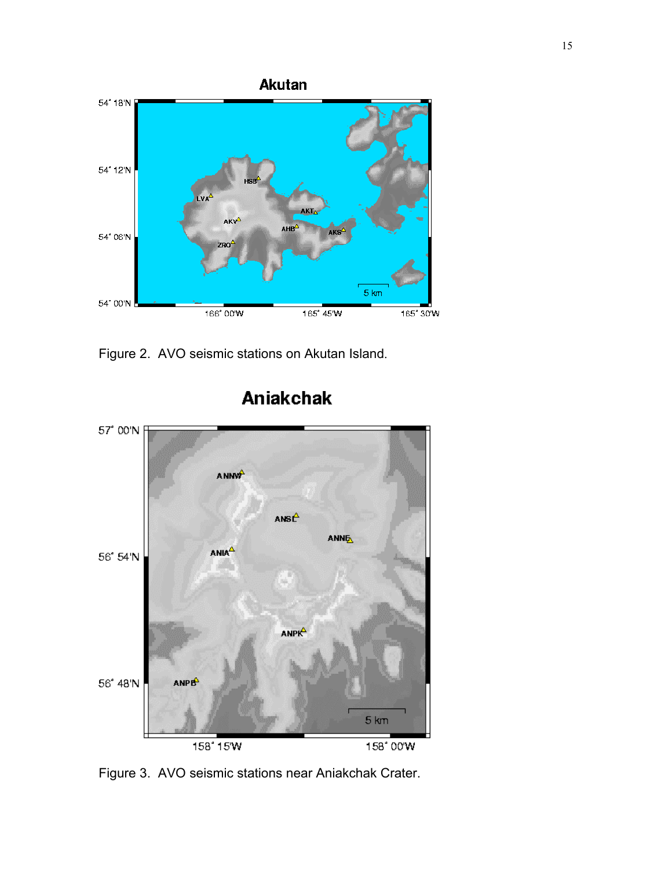

Figure 2. AVO seismic stations on Akutan Island.



# **Aniakchak**

Figure 3. AVO seismic stations near Aniakchak Crater.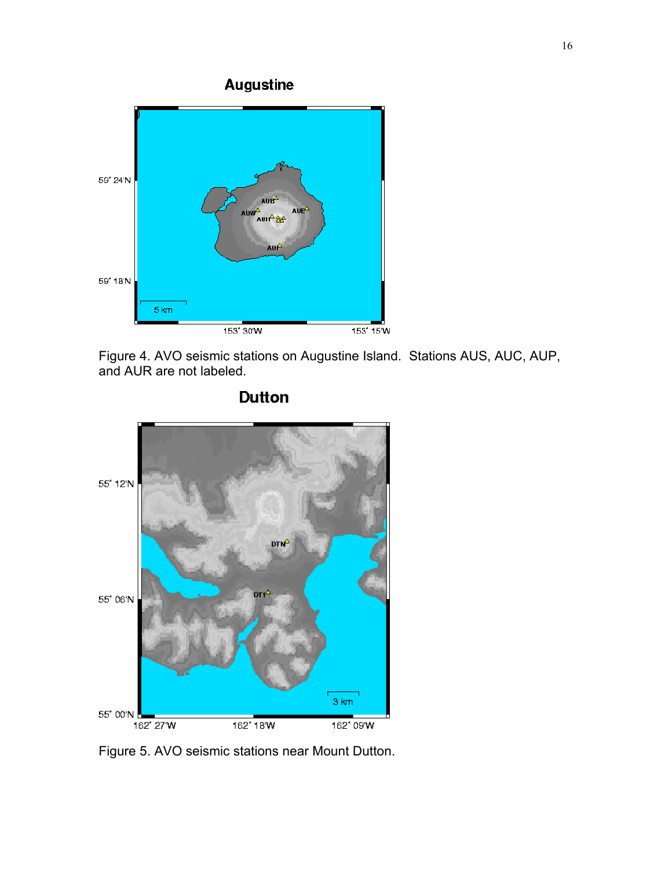Augustine



Figure 4. AVO seismic stations on Augustine Island. Stations AUS, AUC, AUP, and AUR are not labeled.



**Dutton** 

Figure 5. AVO seismic stations near Mount Dutton.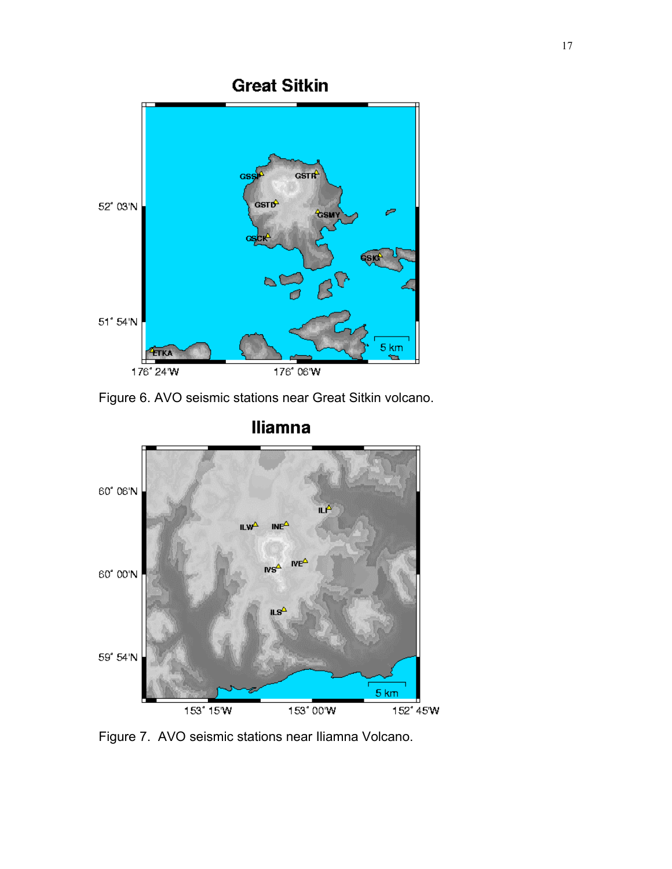

Figure 6. AVO seismic stations near Great Sitkin volcano.



Figure 7. AVO seismic stations near Iliamna Volcano.

# **Iliamna**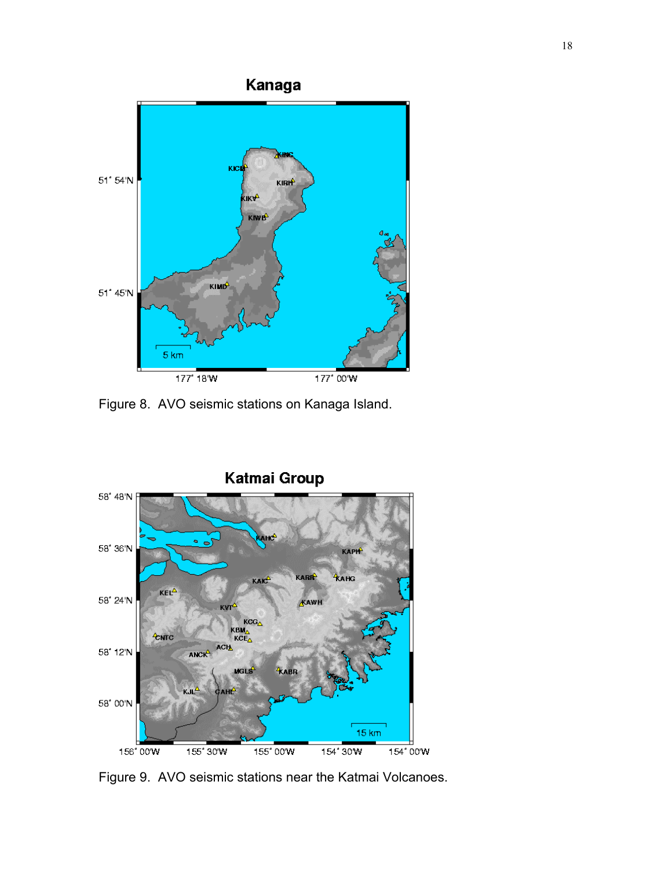

Figure 8. AVO seismic stations on Kanaga Island.



Figure 9. AVO seismic stations near the Katmai Volcanoes.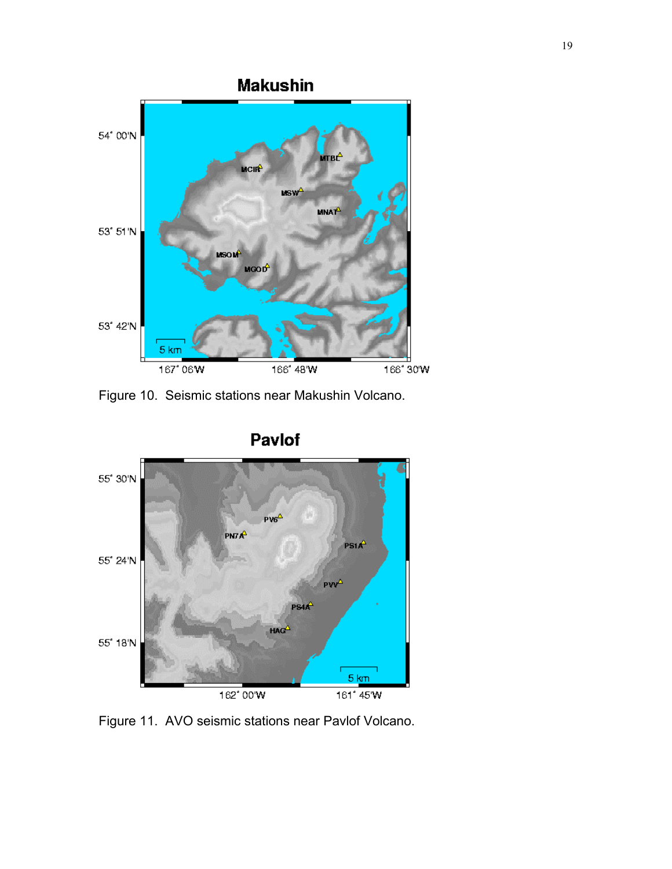

Figure 10. Seismic stations near Makushin Volcano.



Figure 11. AVO seismic stations near Pavlof Volcano.

Pavlof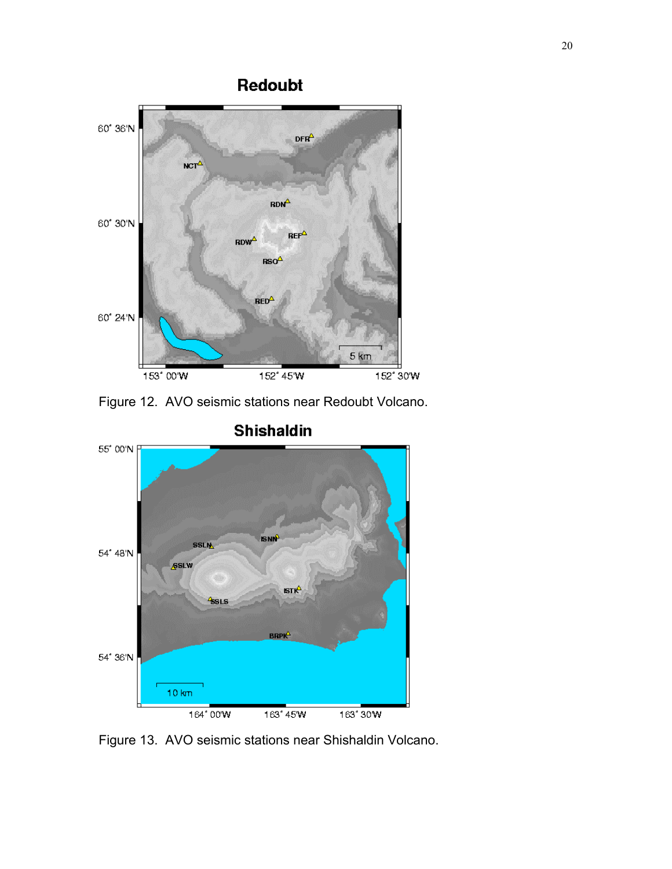

Figure 12. AVO seismic stations near Redoubt Volcano.



Figure 13. AVO seismic stations near Shishaldin Volcano.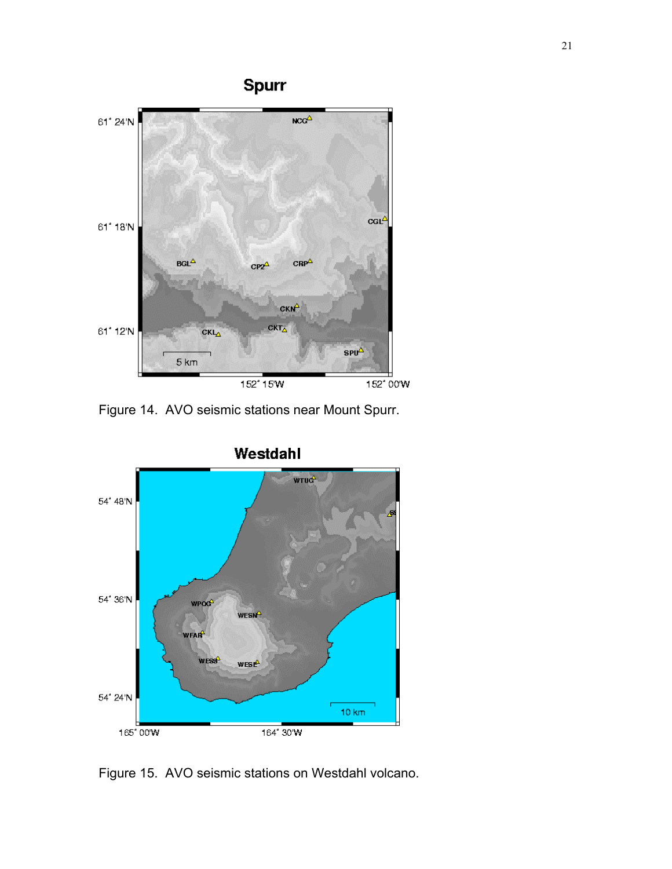

Figure 14. AVO seismic stations near Mount Spurr.



Figure 15. AVO seismic stations on Westdahl volcano.